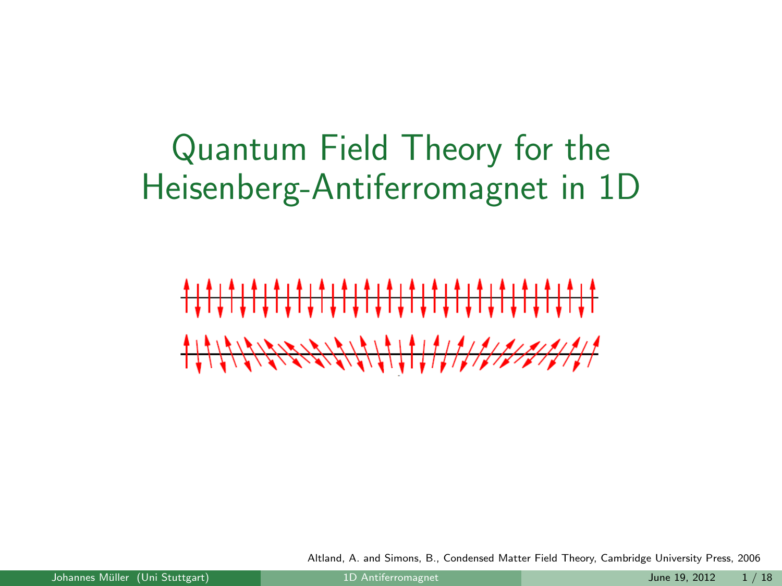# Quantum Field Theory for the Heisenberg-Antiferromagnet in 1D

# <u>╇╁╇┼╇┼╇┼╇┼╇┼╇╂╇╁╇┼╇╁╇╂╇┼╇┼╇┼╇╁╇╂</u> ╫╫

<span id="page-0-0"></span>Altland, A. and Simons, B., Condensed Matter Field Theory, Cambridge University Press, 2006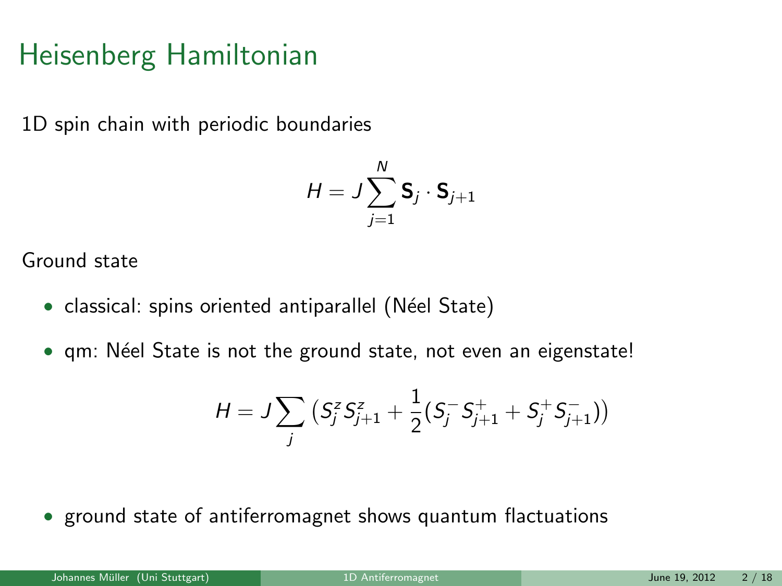## Heisenberg Hamiltonian

1D spin chain with periodic boundaries

$$
H=J\sum_{j=1}^N{\bf S}_j\cdot{\bf S}_{j+1}
$$

Ground state

- classical: spins oriented antiparallel (Néel State)
- qm: Néel State is not the ground state, not even an eigenstate!

$$
H = J \sum_{j} \left( S_{j}^{z} S_{j+1}^{z} + \frac{1}{2} (S_{j}^{-} S_{j+1}^{+} + S_{j}^{+} S_{j+1}^{-}) \right)
$$

• ground state of antiferromagnet shows quantum flactuations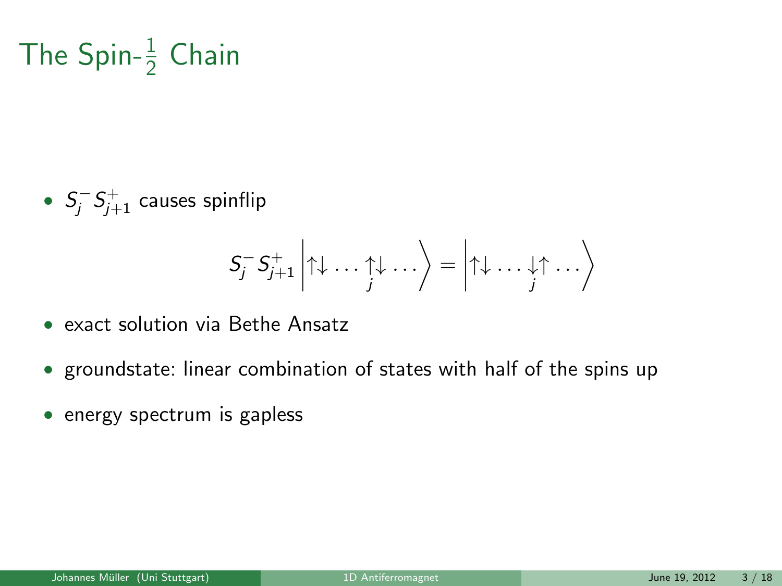The Spin- $\frac{1}{2}$  Chain

• 
$$
S_j^- S_{j+1}^+
$$
 causes spinflip

$$
S_j^- S_{j+1}^+ \left| \uparrow \downarrow \ldots \uparrow \downarrow \ldots \right\rangle = \left| \uparrow \downarrow \ldots \downarrow \uparrow \ldots \right\rangle
$$

- exact solution via Bethe Ansatz
- groundstate: linear combination of states with half of the spins up
- energy spectrum is gapless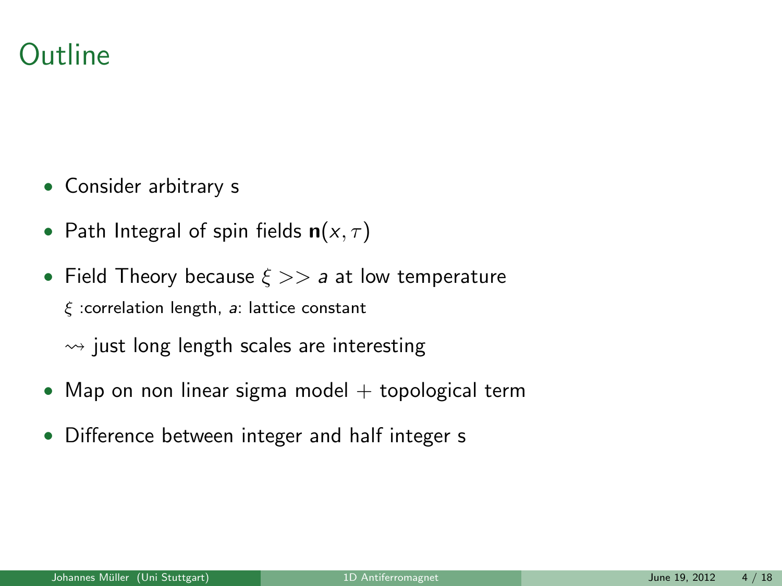

- Consider arbitrary s
- Path Integral of spin fields  $n(x, \tau)$
- Field Theory because  $\xi >> a$  at low temperature  $\xi$  :correlation length, a: lattice constant

 $\rightarrow$  just long length scales are interesting

- Map on non linear sigma model  $+$  topological term
- Difference between integer and half integer s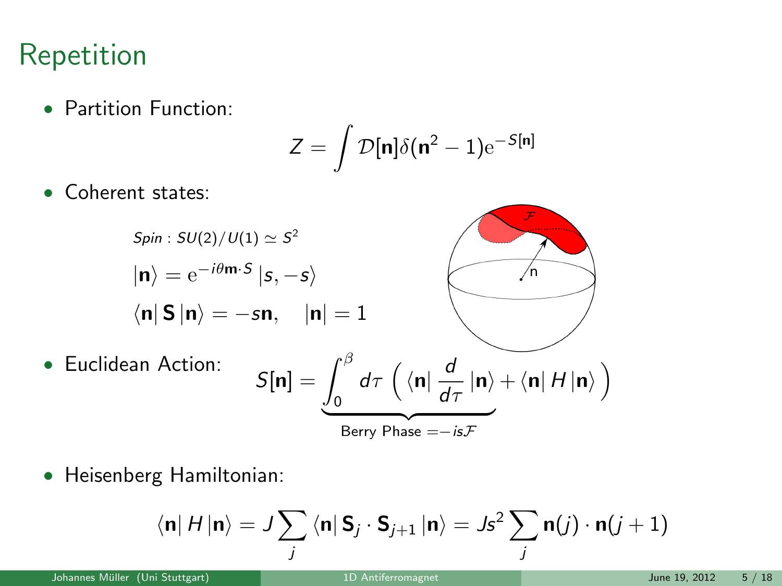## Repetition

• Partition Function:

$$
Z=\int \mathcal{D}[\textbf{n}]\delta(\textbf{n}^2-1)\mathrm{e}^{-S[\textbf{n}]}
$$

Coherent states:



• Heisenberg Hamiltonian:

$$
\langle \mathbf{n} | H | \mathbf{n} \rangle = J \sum_j \langle \mathbf{n} | \mathbf{S}_j \cdot \mathbf{S}_{j+1} | \mathbf{n} \rangle = J \mathbf{s}^2 \sum_j \mathbf{n}(j) \cdot \mathbf{n}(j+1)
$$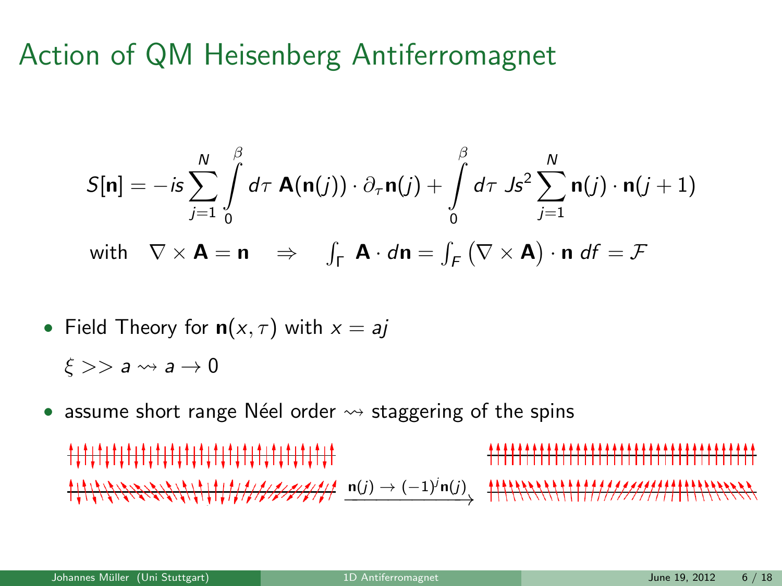## Action of QM Heisenberg Antiferromagnet

$$
S[\mathbf{n}] = -is \sum_{j=1}^{N} \int_{0}^{\beta} d\tau \mathbf{A}(\mathbf{n}(j)) \cdot \partial_{\tau} \mathbf{n}(j) + \int_{0}^{\beta} d\tau \, Js^{2} \sum_{j=1}^{N} \mathbf{n}(j) \cdot \mathbf{n}(j+1)
$$
  
with  $\nabla \times \mathbf{A} = \mathbf{n} \implies \int_{\Gamma} \mathbf{A} \cdot d\mathbf{n} = \int_{F} (\nabla \times \mathbf{A}) \cdot \mathbf{n} \, df = \mathcal{F}$ 

\n- Field Theory for 
$$
n(x, \tau)
$$
 with  $x = aj$
\n- $\xi >> a \leadsto a \rightarrow 0$
\n

assume short range Néel order  $\rightsquigarrow$  staggering of the spins

\*\*\*\*\*\*\*\*\*\*\*\*\*\*\*\*\*\*\*\*\*\*\*\*\*\*\*\*\*\*\*\*  $\longrightarrow$   $\longrightarrow$   $\longrightarrow$   $\longrightarrow$   $\longrightarrow$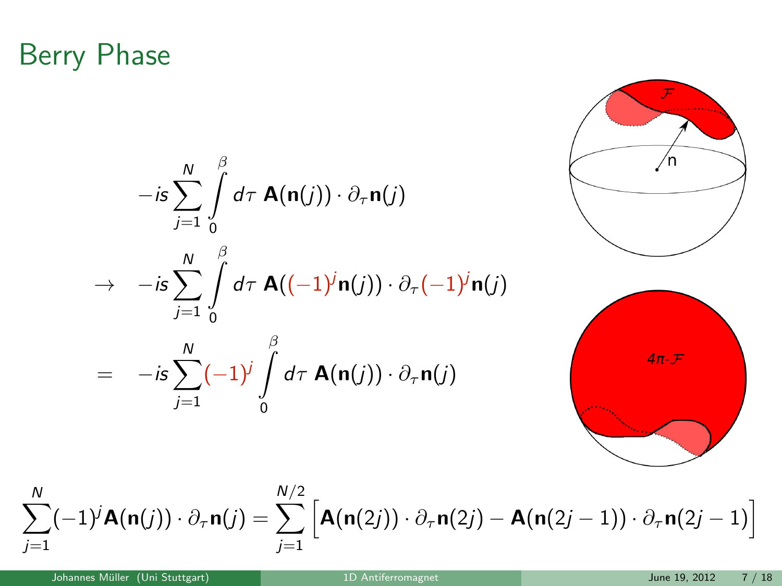#### Berry Phase

 $-i s \sum_{n=1}^{N}$ j=1

 $\rightarrow -is \sum_{n=1}^{N} \int_{0}^{\beta}$ 

 $\int$ 

0



$$
= -is \sum_{j=1}^{N} (-1)^j \int_{0}^{\beta} d\tau \mathbf{A}(\mathbf{n}(j)) \cdot \partial_{\tau} \mathbf{n}(j)
$$

 $d\tau$  A(n(j))  $\cdot$   $\partial_{\tau}$ n(j)



$$
\sum_{j=1}^N (-1)^j \mathbf{A}(\mathbf{n}(j)) \cdot \partial_{\tau} \mathbf{n}(j) = \sum_{j=1}^{N/2} \left[ \mathbf{A}(\mathbf{n}(2j)) \cdot \partial_{\tau} \mathbf{n}(2j) - \mathbf{A}(\mathbf{n}(2j-1)) \cdot \partial_{\tau} \mathbf{n}(2j-1) \right]
$$

 $d\tau$  A( $(-1)^j$ n $(j)$ ) ·  $\partial_{\tau}(-1)^j$ n $(j)$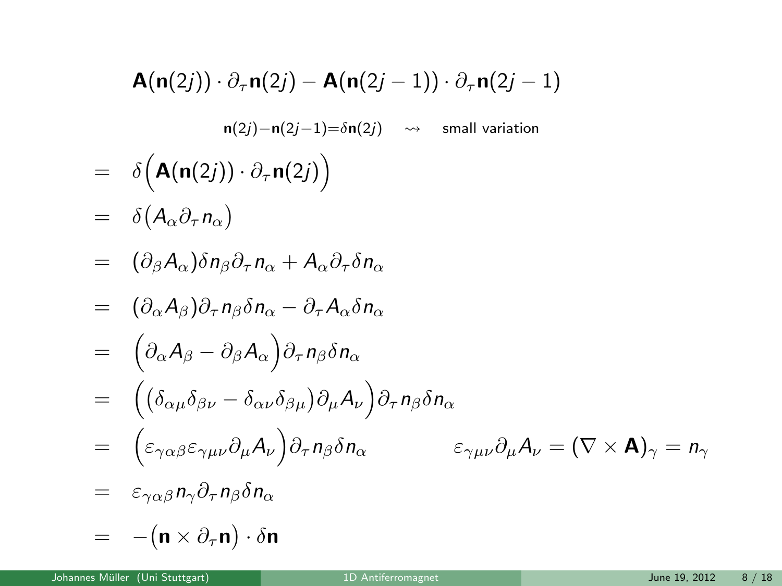$$
\mathbf{A}(\mathbf{n}(2j)) \cdot \partial_{\tau} \mathbf{n}(2j) - \mathbf{A}(\mathbf{n}(2j-1)) \cdot \partial_{\tau} \mathbf{n}(2j-1)
$$
\n
$$
n(2j)-n(2j-1)=\delta n(2j) \quad \leadsto \quad \text{small variation}
$$
\n
$$
= \delta \left( \mathbf{A}(\mathbf{n}(2j)) \cdot \partial_{\tau} \mathbf{n}(2j) \right)
$$
\n
$$
= \delta \left( \mathbf{A}_{\alpha} \partial_{\tau} n_{\alpha} \right)
$$
\n
$$
= (\partial_{\beta} A_{\alpha}) \delta n_{\beta} \partial_{\tau} n_{\alpha} + A_{\alpha} \partial_{\tau} \delta n_{\alpha}
$$
\n
$$
= (\partial_{\alpha} A_{\beta}) \partial_{\tau} n_{\beta} \delta n_{\alpha} - \partial_{\tau} A_{\alpha} \delta n_{\alpha}
$$
\n
$$
= (\partial_{\alpha} A_{\beta} - \partial_{\beta} A_{\alpha}) \partial_{\tau} n_{\beta} \delta n_{\alpha}
$$
\n
$$
= (\delta_{\alpha \mu} \delta_{\beta \nu} - \delta_{\alpha \nu} \delta_{\beta \mu}) \partial_{\mu} A_{\nu} \partial_{\tau} n_{\beta} \delta n_{\alpha}
$$
\n
$$
= (\varepsilon_{\gamma \alpha \beta} \varepsilon_{\gamma \mu \nu} \partial_{\mu} A_{\nu}) \partial_{\tau} n_{\beta} \delta n_{\alpha} \qquad \varepsilon_{\gamma \mu \nu} \partial_{\mu} A_{\nu} = (\nabla \times \mathbf{A})_{\gamma} = n_{\gamma}
$$
\n
$$
= \varepsilon_{\gamma \alpha \beta} n_{\gamma} \partial_{\tau} n_{\beta} \delta n_{\alpha}
$$
\n
$$
= -(\mathbf{n} \times \partial_{\tau} \mathbf{n}) \cdot \delta \mathbf{n}
$$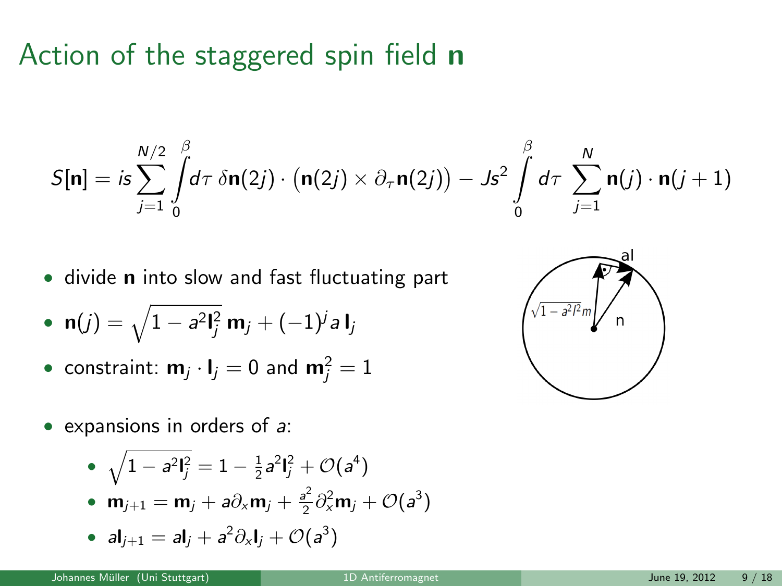## Action of the staggered spin field n

$$
S[\mathbf{n}] = i s \sum_{j=1}^{N/2} \int_{0}^{\beta} d\tau \, \delta \mathbf{n}(2j) \cdot (\mathbf{n}(2j) \times \partial_{\tau} \mathbf{n}(2j)) - J s^{2} \int_{0}^{\beta} d\tau \, \sum_{j=1}^{N} \mathbf{n}(j) \cdot \mathbf{n}(j+1)
$$

• divide n into slow and fast fluctuating part

• 
$$
\mathbf{n}(j) = \sqrt{1 - a^2 \mathbf{l}_j^2} \mathbf{m}_j + (-1)^j a \mathbf{l}_j
$$

- $\bullet\,$  constraint:  $\mathbf{m}_j\cdot\mathbf{l}_j=0$  and  $\mathbf{m}_j^2=1$
- expansions in orders of  $a$ :

• 
$$
\sqrt{1-a^2l_j^2} = 1 - \frac{1}{2}a^2l_j^2 + \mathcal{O}(a^4)
$$
  
\n•  $m_{j+1} = m_j + a\partial_x m_j + \frac{a^2}{2}\partial_x^2 m_j + \mathcal{O}(a^3)$ 

• 
$$
al_{j+1} = al_j + a^2 \partial_x I_j + \mathcal{O}(a^3)
$$

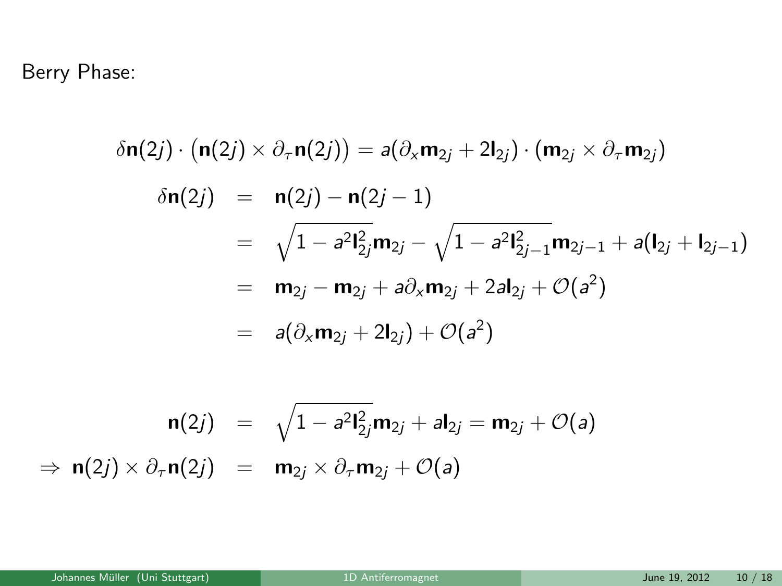Berry Phase:

 $\delta {\mathsf n}(2j) \cdot \big( {\mathsf n}(2j) \times \partial_{\tau} {\mathsf n}(2j) \big) = \mathsf a(\partial_{\mathsf x} {\mathsf m}_{2j} + 2{\mathsf l}_{2j}) \cdot \big( {\mathsf m}_{2j} \times \partial_{\tau} {\mathsf m}_{2j} \big)$  $\delta n(2i) = n(2i) - n(2i - 1)$  $= \sqrt{1 - a^2 \mathsf{I}_{2j}^2} \mathsf{m}_{2j} - \sqrt{1 - a^2 \mathsf{I}_{2j-1}^2} \mathsf{m}_{2j-1} + a(\mathsf{I}_{2j} + \mathsf{I}_{2j-1})$  $=$   $m_{2j} - m_{2j} + a \partial_x m_{2j} + 2al_{2j} + \mathcal{O}(a^2)$  $=$   $a(\partial_x m_{2j} + 2l_{2j}) + \mathcal{O}(a^2)$ 

$$
\mathbf{n}(2j) = \sqrt{1 - a^2 \mathbf{l}_{2j}^2} \mathbf{m}_{2j} + a \mathbf{l}_{2j} = \mathbf{m}_{2j} + \mathcal{O}(a)
$$
  
\n
$$
\Rightarrow \mathbf{n}(2j) \times \partial_{\tau} \mathbf{n}(2j) = \mathbf{m}_{2j} \times \partial_{\tau} \mathbf{m}_{2j} + \mathcal{O}(a)
$$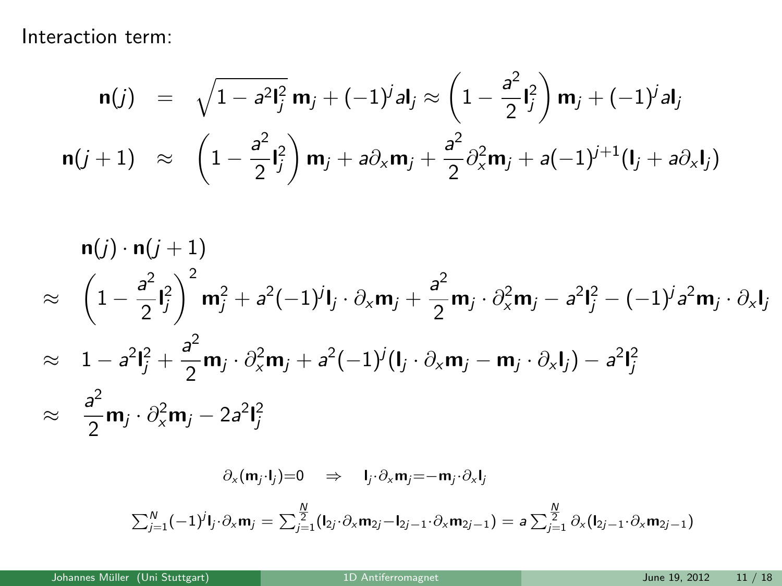Interaction term:

$$
\mathbf{n}(j) = \sqrt{1 - a^2 l_j^2} \mathbf{m}_j + (-1)^j a l_j \approx \left(1 - \frac{a^2}{2} l_j^2\right) \mathbf{m}_j + (-1)^j a l_j
$$
  

$$
\mathbf{n}(j+1) \approx \left(1 - \frac{a^2}{2} l_j^2\right) \mathbf{m}_j + a \partial_x \mathbf{m}_j + \frac{a^2}{2} \partial_x^2 \mathbf{m}_j + a(-1)^{j+1} (l_j + a \partial_x l_j)
$$

$$
\mathbf{n}(j) \cdot \mathbf{n}(j+1)
$$
\n
$$
\approx \left(1 - \frac{a^2}{2} \mathbf{l}_j^2\right)^2 \mathbf{m}_j^2 + a^2(-1)^j \mathbf{l}_j \cdot \partial_x \mathbf{m}_j + \frac{a^2}{2} \mathbf{m}_j \cdot \partial_x^2 \mathbf{m}_j - a^2 \mathbf{l}_j^2 - (-1)^j a^2 \mathbf{m}_j \cdot \partial_x \mathbf{l}_j
$$
\n
$$
\approx 1 - a^2 \mathbf{l}_j^2 + \frac{a^2}{2} \mathbf{m}_j \cdot \partial_x^2 \mathbf{m}_j + a^2(-1)^j (\mathbf{l}_j \cdot \partial_x \mathbf{m}_j - \mathbf{m}_j \cdot \partial_x \mathbf{l}_j) - a^2 \mathbf{l}_j^2
$$
\n
$$
\approx \frac{a^2}{2} \mathbf{m}_j \cdot \partial_x^2 \mathbf{m}_j - 2a^2 \mathbf{l}_j^2
$$

$$
\partial_x(\mathbf{m}_j \cdot \mathbf{l}_j) = 0 \quad \Rightarrow \quad \mathbf{l}_j \cdot \partial_x \mathbf{m}_j = -\mathbf{m}_j \cdot \partial_x \mathbf{l}_j
$$
\n
$$
\sum_{j=1}^N (-1)^j \mathbf{l}_j \cdot \partial_x \mathbf{m}_j = \sum_{j=1}^N (\mathbf{l}_{2j} \cdot \partial_x \mathbf{m}_{2j} - \mathbf{l}_{2j-1} \cdot \partial_x \mathbf{m}_{2j-1}) = a \sum_{j=1}^N \partial_x (\mathbf{l}_{2j-1} \cdot \partial_x \mathbf{m}_{2j-1})
$$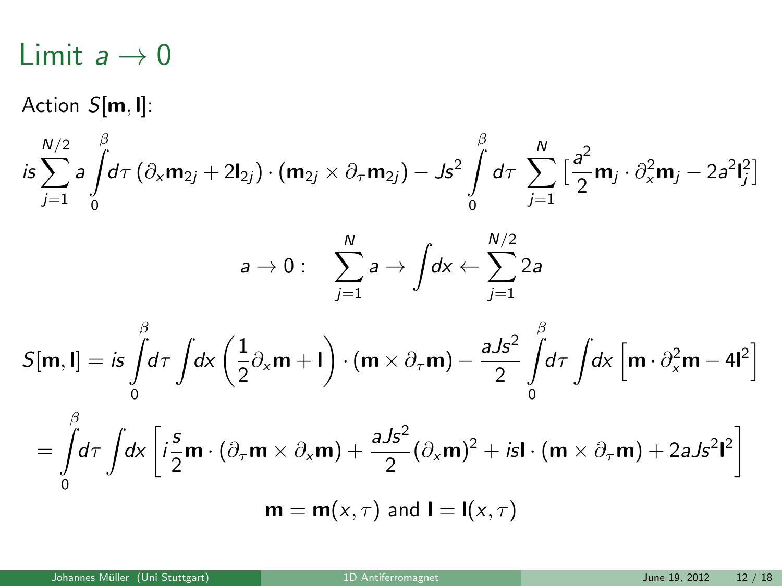Limit  $a \rightarrow 0$ 

Action  $S[m, 1]$ :

$$
\int_{j=1}^{N/2} a \int_{0}^{\beta} d\tau \left( \partial_x \mathbf{m}_{2j} + 2 \mathbf{l}_{2j} \right) \cdot \left( \mathbf{m}_{2j} \times \partial_{\tau} \mathbf{m}_{2j} \right) - J s^2 \int_{0}^{\beta} d\tau \sum_{j=1}^{N} \left[ \frac{a^2}{2} \mathbf{m}_j \cdot \partial_x^2 \mathbf{m}_j - 2 a^2 \mathbf{l}_j^2 \right]
$$

$$
a \to 0: \quad \sum_{j=1}^N a \to \int dx \leftarrow \sum_{j=1}^{N/2} 2a
$$

$$
S[\mathbf{m}, \mathbf{l}] = i s \int_{0}^{\beta} d\tau \int dx \left( \frac{1}{2} \partial_{x} \mathbf{m} + \mathbf{l} \right) \cdot (\mathbf{m} \times \partial_{\tau} \mathbf{m}) - \frac{a J s^{2}}{2} \int_{0}^{\beta} d\tau \int dx \left[ \mathbf{m} \cdot \partial_{x}^{2} \mathbf{m} - 4 \mathbf{l}^{2} \right]
$$

$$
= \int_{0}^{\beta} d\tau \int dx \left[ i \frac{s}{2} \mathbf{m} \cdot (\partial_{\tau} \mathbf{m} \times \partial_{x} \mathbf{m}) + \frac{a J s^{2}}{2} (\partial_{x} \mathbf{m})^{2} + i s \mathbf{l} \cdot (\mathbf{m} \times \partial_{\tau} \mathbf{m}) + 2 a J s^{2} \mathbf{l}^{2} \right]
$$

 $m = m(x, \tau)$  and  $I = I(x, \tau)$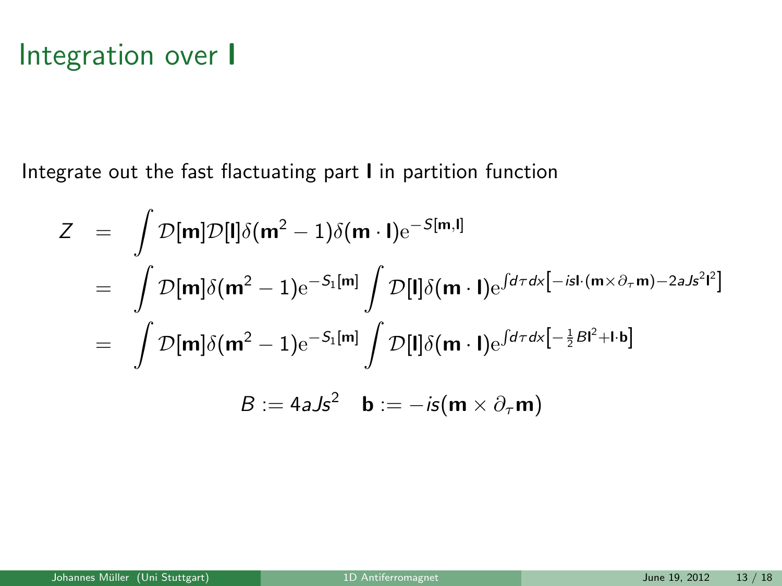## Integration over l

Integrate out the fast flactuating part l in partition function

$$
Z = \int \mathcal{D}[\mathbf{m}] \mathcal{D}[\mathbf{l}] \delta(\mathbf{m}^2 - 1) \delta(\mathbf{m} \cdot \mathbf{l}) e^{-S[\mathbf{m}, \mathbf{l}]}
$$
  
\n
$$
= \int \mathcal{D}[\mathbf{m}] \delta(\mathbf{m}^2 - 1) e^{-S_1[\mathbf{m}]} \int \mathcal{D}[\mathbf{l}] \delta(\mathbf{m} \cdot \mathbf{l}) e^{\int d\tau dx} [-i\mathbf{s} \cdot (\mathbf{m} \times \partial_{\tau} \mathbf{m}) - 2aJ s^2 \mathbf{l}^2]
$$
  
\n
$$
= \int \mathcal{D}[\mathbf{m}] \delta(\mathbf{m}^2 - 1) e^{-S_1[\mathbf{m}]} \int \mathcal{D}[\mathbf{l}] \delta(\mathbf{m} \cdot \mathbf{l}) e^{\int d\tau dx} [-\frac{1}{2}B\mathbf{l}^2 + \mathbf{l} \cdot \mathbf{b}]
$$
  
\n
$$
B := 4aJ s^2 \quad \mathbf{b} := -i\mathbf{s}(\mathbf{m} \times \partial_{\tau} \mathbf{m})
$$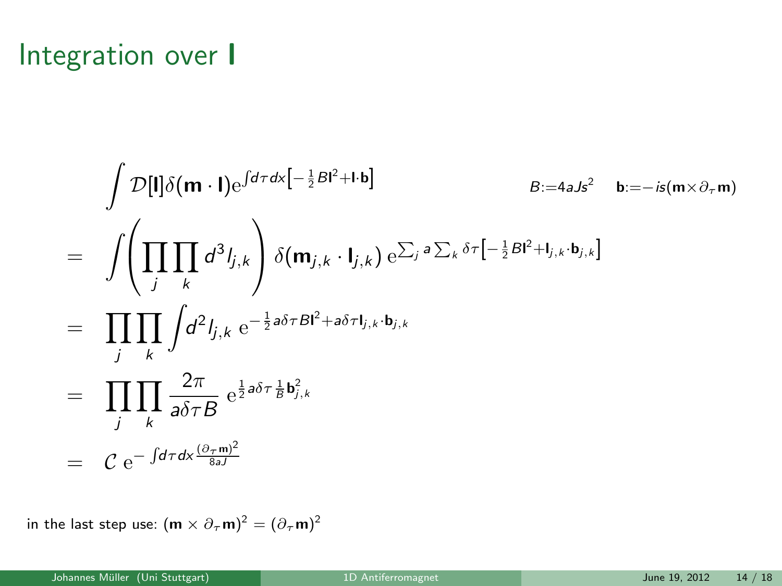# Integration over l

$$
\int \mathcal{D}[\mathbf{l}] \delta(\mathbf{m} \cdot \mathbf{l}) e^{\int d\tau dx} [-\frac{1}{2}B\mathbf{l}^2 + \mathbf{l} \cdot \mathbf{b}] \qquad B := -is(\mathbf{m} \times \partial_{\tau} \mathbf{m})
$$
  
\n
$$
= \int \left( \prod_{j} \prod_{k} d^3 j_{j,k} \right) \delta(\mathbf{m}_{j,k} \cdot \mathbf{l}_{j,k}) e^{\sum_{j} a \sum_{k} \delta \tau \left[ -\frac{1}{2} B\mathbf{l}^2 + \mathbf{l}_{j,k} \cdot \mathbf{b}_{j,k} \right]}
$$
  
\n
$$
= \prod_{j} \prod_{k} \int d^2 j_{j,k} e^{-\frac{1}{2} a \delta \tau B \mathbf{l}^2 + a \delta \tau \mathbf{l}_{j,k} \cdot \mathbf{b}_{j,k}}
$$
  
\n
$$
= \prod_{j} \prod_{k} \frac{2\pi}{a \delta \tau B} e^{\frac{1}{2} a \delta \tau \frac{1}{B} \mathbf{b}_{j,k}^2}
$$
  
\n
$$
= C e^{-\int d\tau dx \frac{(\partial_{\tau} \mathbf{m})^2}{8a\mathbf{l}}
$$

in the last step use:  $(\mathbf{m}\times\partial_{\tau}\mathbf{m})^2=(\partial_{\tau}\mathbf{m})^2$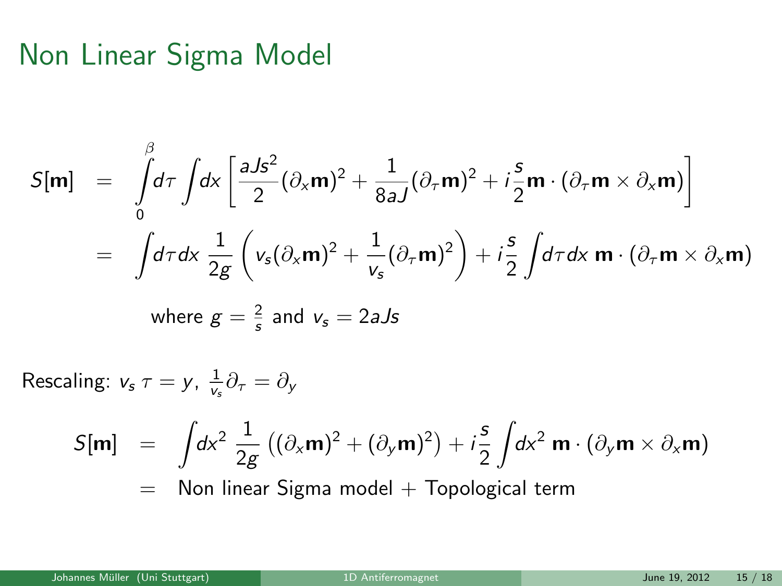#### Non Linear Sigma Model

$$
S[\mathbf{m}] = \int_{0}^{\beta} d\tau \int dx \left[ \frac{aJs^{2}}{2} (\partial_{x}\mathbf{m})^{2} + \frac{1}{8aJ} (\partial_{\tau}\mathbf{m})^{2} + i\frac{s}{2}\mathbf{m} \cdot (\partial_{\tau}\mathbf{m} \times \partial_{x}\mathbf{m}) \right]
$$
  
=  $\int d\tau dx \frac{1}{2g} \left( v_{s} (\partial_{x}\mathbf{m})^{2} + \frac{1}{v_{s}} (\partial_{\tau}\mathbf{m})^{2} \right) + i\frac{s}{2} \int d\tau dx \mathbf{m} \cdot (\partial_{\tau}\mathbf{m} \times \partial_{x}\mathbf{m})$   
where  $g = \frac{2}{s}$  and  $v_{s} = 2aJs$ 

Rescaling:  $v_s \tau = y$ ,  $\frac{1}{v_s} \partial_\tau = \partial_y$ 

$$
S[m] = \int dx^2 \frac{1}{2g} ((\partial_x m)^2 + (\partial_y m)^2) + i\frac{s}{2} \int dx^2 m \cdot (\partial_y m \times \partial_x m)
$$
  
= Non linear Sigma model + Topological term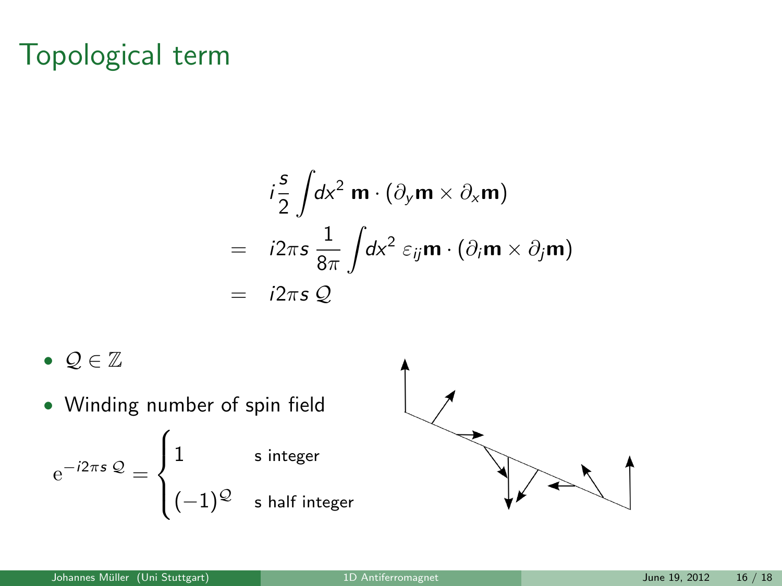## Topological term

$$
i\frac{s}{2} \int dx^2 \mathbf{m} \cdot (\partial_y \mathbf{m} \times \partial_x \mathbf{m})
$$
  
=  $i2\pi s \frac{1}{8\pi} \int dx^2 \varepsilon_{ij} \mathbf{m} \cdot (\partial_i \mathbf{m} \times \partial_j \mathbf{m})$   
=  $i2\pi s \mathcal{Q}$ 

 $\blacktriangle$ 

•  $\mathcal{Q} \in \mathbb{Z}$ 

\n- Winding number of spin field\n 
$$
e^{-i2\pi s \mathcal{Q}} =\n \begin{cases}\n 1 & \text{since } 1 \\
(-1)^{\mathcal{Q}} & \text{shalf integer}\n \end{cases}
$$
\n
\n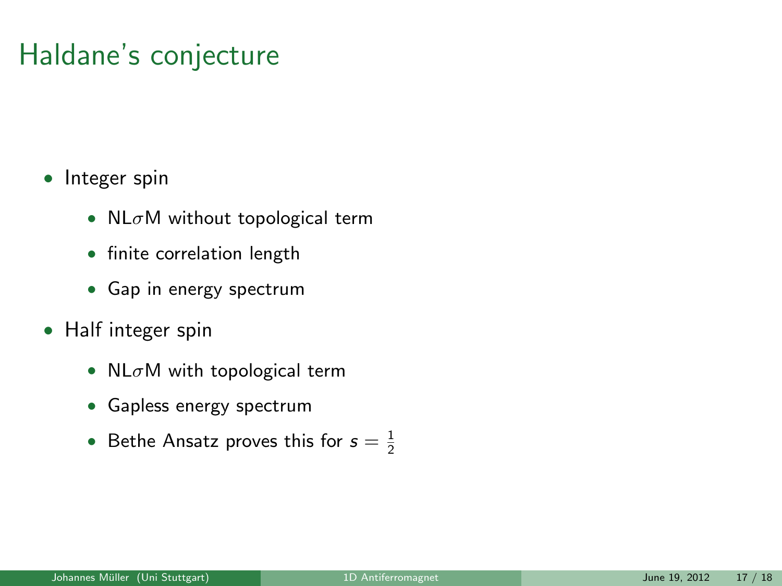# Haldane's conjecture

- Integer spin
	- $N L \sigma M$  without topological term
	- finite correlation length
	- Gap in energy spectrum
- Half integer spin
	- NL $\sigma$ M with topological term
	- Gapless energy spectrum
	- Bethe Ansatz proves this for  $s=\frac{1}{2}$